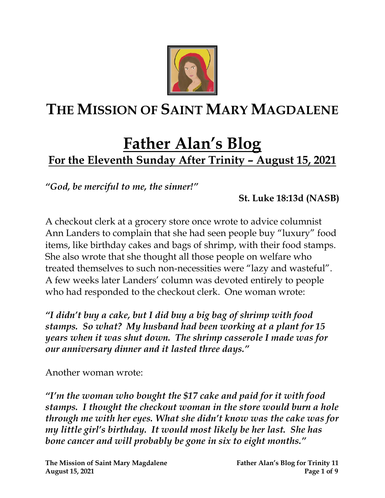

# **THE MISSION OF SAINT MARY MAGDALENE**

## **Father Alan's Blog For the Eleventh Sunday After Trinity – August 15, 2021**

*"God, be merciful to me, the sinner!"* 

**St. Luke 18:13d (NASB)**

A checkout clerk at a grocery store once wrote to advice columnist Ann Landers to complain that she had seen people buy "luxury" food items, like birthday cakes and bags of shrimp, with their food stamps. She also wrote that she thought all those people on welfare who treated themselves to such non-necessities were "lazy and wasteful". A few weeks later Landers' column was devoted entirely to people who had responded to the checkout clerk. One woman wrote:

*"I didn't buy a cake, but I did buy a big bag of shrimp with food stamps. So what? My husband had been working at a plant for 15 years when it was shut down. The shrimp casserole I made was for our anniversary dinner and it lasted three days."*

Another woman wrote:

*"I'm the woman who bought the \$17 cake and paid for it with food stamps. I thought the checkout woman in the store would burn a hole through me with her eyes. What she didn't know was the cake was for my little girl's birthday. It would most likely be her last. She has bone cancer and will probably be gone in six to eight months."*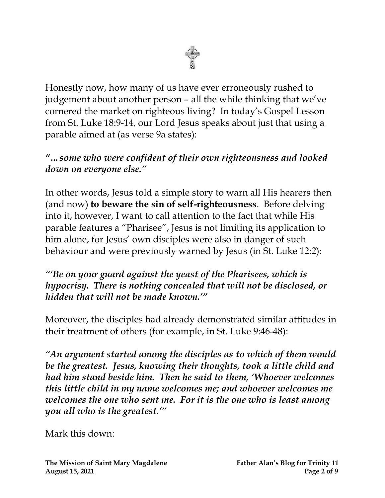Honestly now, how many of us have ever erroneously rushed to judgement about another person – all the while thinking that we've cornered the market on righteous living? In today's Gospel Lesson from St. Luke 18:9-14, our Lord Jesus speaks about just that using a parable aimed at (as verse 9a states):

*"…some who were confident of their own righteousness and looked down on everyone else."*

In other words, Jesus told a simple story to warn all His hearers then (and now) **to beware the sin of self-righteousness**. Before delving into it, however, I want to call attention to the fact that while His parable features a "Pharisee", Jesus is not limiting its application to him alone, for Jesus' own disciples were also in danger of such behaviour and were previously warned by Jesus (in St. Luke 12:2):

#### *"'Be on your guard against the yeast of the Pharisees, which is hypocrisy. There is nothing concealed that will not be disclosed, or hidden that will not be made known.'"*

Moreover, the disciples had already demonstrated similar attitudes in their treatment of others (for example, in St. Luke 9:46-48):

*"An argument started among the disciples as to which of them would be the greatest. Jesus, knowing their thoughts, took a little child and had him stand beside him. Then he said to them, 'Whoever welcomes this little child in my name welcomes me; and whoever welcomes me welcomes the one who sent me. For it is the one who is least among you all who is the greatest.'"*

Mark this down: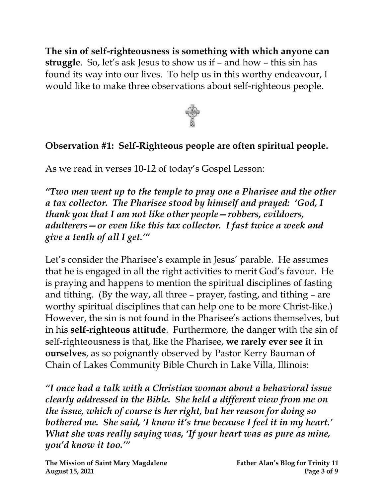**The sin of self-righteousness is something with which anyone can struggle**. So, let's ask Jesus to show us if – and how – this sin has found its way into our lives. To help us in this worthy endeavour, I would like to make three observations about self-righteous people.



#### **Observation #1: Self-Righteous people are often spiritual people.**

As we read in verses 10-12 of today's Gospel Lesson:

*"Two men went up to the temple to pray one a Pharisee and the other a tax collector. The Pharisee stood by himself and prayed: 'God, I thank you that I am not like other people—robbers, evildoers, adulterers—or even like this tax collector. I fast twice a week and give a tenth of all I get.'"*

Let's consider the Pharisee's example in Jesus' parable. He assumes that he is engaged in all the right activities to merit God's favour. He is praying and happens to mention the spiritual disciplines of fasting and tithing. (By the way, all three – prayer, fasting, and tithing – are worthy spiritual disciplines that can help one to be more Christ-like.) However, the sin is not found in the Pharisee's actions themselves, but in his **self-righteous attitude**. Furthermore, the danger with the sin of self-righteousness is that, like the Pharisee, **we rarely ever see it in ourselves**, as so poignantly observed by Pastor Kerry Bauman of Chain of Lakes Community Bible Church in Lake Villa, Illinois:

*"I once had a talk with a Christian woman about a behavioral issue clearly addressed in the Bible. She held a different view from me on the issue, which of course is her right, but her reason for doing so bothered me. She said, 'I know it's true because I feel it in my heart.' What she was really saying was, 'If your heart was as pure as mine, you'd know it too.'"*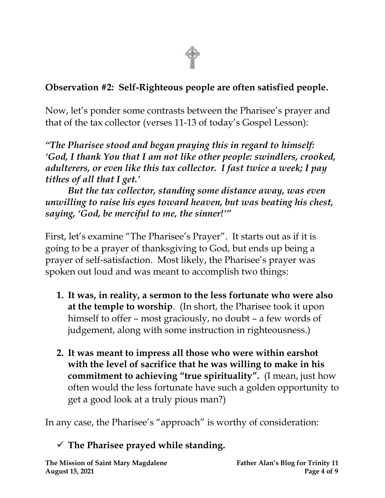

#### **Observation #2: Self-Righteous people are often satisfied people.**

Now, let's ponder some contrasts between the Pharisee's prayer and that of the tax collector (verses 11-13 of today's Gospel Lesson):

*"The Pharisee stood and began praying this in regard to himself: 'God, I thank You that I am not like other people: swindlers, crooked, adulterers, or even like this tax collector. I fast twice a week; I pay tithes of all that I get.'*

*But the tax collector, standing some distance away, was even unwilling to raise his eyes toward heaven, but was beating his chest, saying, 'God, be merciful to me, the sinner!'"*

First, let's examine "The Pharisee's Prayer". It starts out as if it is going to be a prayer of thanksgiving to God, but ends up being a prayer of self-satisfaction. Most likely, the Pharisee's prayer was spoken out loud and was meant to accomplish two things:

- **1. It was, in reality, a sermon to the less fortunate who were also at the temple to worship**. (In short, the Pharisee took it upon himself to offer – most graciously, no doubt – a few words of judgement, along with some instruction in righteousness.)
- **2. It was meant to impress all those who were within earshot with the level of sacrifice that he was willing to make in his commitment to achieving "true spirituality".** (I mean, just how often would the less fortunate have such a golden opportunity to get a good look at a truly pious man?)

In any case, the Pharisee's "approach" is worthy of consideration:

#### ✓ **The Pharisee prayed while standing.**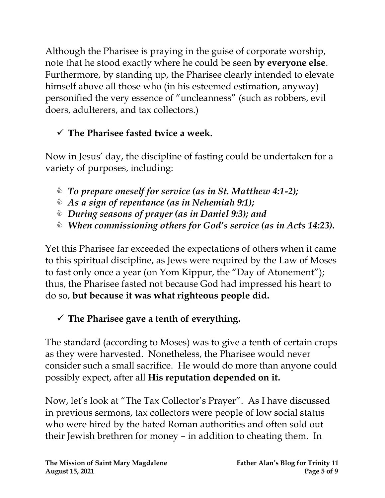Although the Pharisee is praying in the guise of corporate worship, note that he stood exactly where he could be seen **by everyone else**. Furthermore, by standing up, the Pharisee clearly intended to elevate himself above all those who (in his esteemed estimation, anyway) personified the very essence of "uncleanness" (such as robbers, evil doers, adulterers, and tax collectors.)

### ✓ **The Pharisee fasted twice a week.**

Now in Jesus' day, the discipline of fasting could be undertaken for a variety of purposes, including:

- *To prepare oneself for service (as in St. Matthew 4:1-2);*
- *As a sign of repentance (as in Nehemiah 9:1);*
- *During seasons of prayer (as in Daniel 9:3); and*
- *When commissioning others for God's service (as in Acts 14:23).*

Yet this Pharisee far exceeded the expectations of others when it came to this spiritual discipline, as Jews were required by the Law of Moses to fast only once a year (on Yom Kippur, the "Day of Atonement"); thus, the Pharisee fasted not because God had impressed his heart to do so, **but because it was what righteous people did.**

#### ✓ **The Pharisee gave a tenth of everything.**

The standard (according to Moses) was to give a tenth of certain crops as they were harvested. Nonetheless, the Pharisee would never consider such a small sacrifice. He would do more than anyone could possibly expect, after all **His reputation depended on it.**

Now, let's look at "The Tax Collector's Prayer". As I have discussed in previous sermons, tax collectors were people of low social status who were hired by the hated Roman authorities and often sold out their Jewish brethren for money – in addition to cheating them. In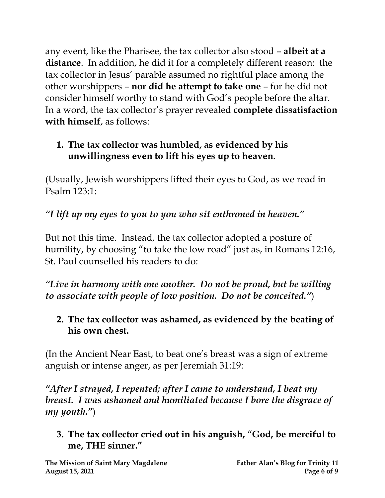any event, like the Pharisee, the tax collector also stood – **albeit at a distance**. In addition, he did it for a completely different reason: the tax collector in Jesus' parable assumed no rightful place among the other worshippers – **nor did he attempt to take one** – for he did not consider himself worthy to stand with God's people before the altar. In a word, the tax collector's prayer revealed **complete dissatisfaction with himself**, as follows:

#### **1. The tax collector was humbled, as evidenced by his unwillingness even to lift his eyes up to heaven.**

(Usually, Jewish worshippers lifted their eyes to God, as we read in Psalm 123:1:

*"I lift up my eyes to you to you who sit enthroned in heaven."*

But not this time. Instead, the tax collector adopted a posture of humility, by choosing "to take the low road" just as, in Romans 12:16, St. Paul counselled his readers to do:

*"Live in harmony with one another. Do not be proud, but be willing to associate with people of low position. Do not be conceited."*)

**2. The tax collector was ashamed, as evidenced by the beating of his own chest.**

(In the Ancient Near East, to beat one's breast was a sign of extreme anguish or intense anger, as per Jeremiah 31:19:

*"After I strayed, I repented; after I came to understand, I beat my breast. I was ashamed and humiliated because I bore the disgrace of my youth."*)

**3. The tax collector cried out in his anguish, "God, be merciful to me, THE sinner."**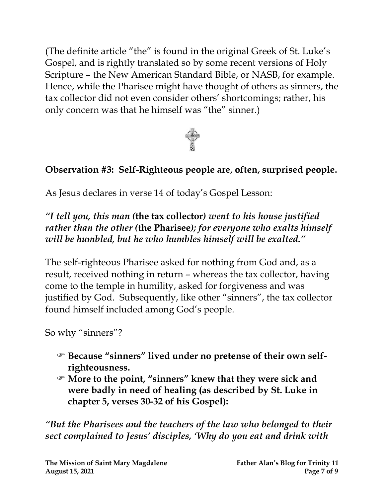(The definite article "the" is found in the original Greek of St. Luke's Gospel, and is rightly translated so by some recent versions of Holy Scripture – the New American Standard Bible, or NASB, for example. Hence, while the Pharisee might have thought of others as sinners, the tax collector did not even consider others' shortcomings; rather, his only concern was that he himself was "the" sinner.)



#### **Observation #3: Self-Righteous people are, often, surprised people.**

As Jesus declares in verse 14 of today's Gospel Lesson:

*"I tell you, this man (***the tax collector***) went to his house justified rather than the other (***the Pharisee***); for everyone who exalts himself will be humbled, but he who humbles himself will be exalted."*

The self-righteous Pharisee asked for nothing from God and, as a result, received nothing in return – whereas the tax collector, having come to the temple in humility, asked for forgiveness and was justified by God. Subsequently, like other "sinners", the tax collector found himself included among God's people.

So why "sinners"?

- **Because "sinners" lived under no pretense of their own selfrighteousness.**
- **More to the point, "sinners" knew that they were sick and were badly in need of healing (as described by St. Luke in chapter 5, verses 30-32 of his Gospel):**

*"But the Pharisees and the teachers of the law who belonged to their sect complained to Jesus' disciples, 'Why do you eat and drink with*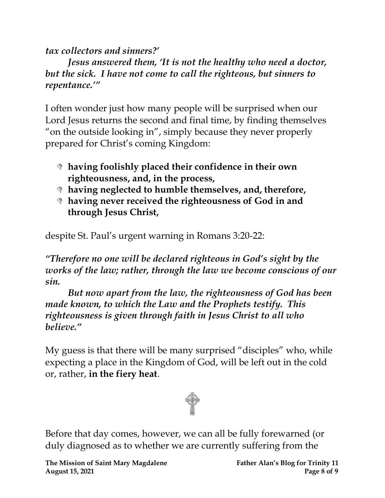#### *tax collectors and sinners?'*

*Jesus answered them, 'It is not the healthy who need a doctor, but the sick. I have not come to call the righteous, but sinners to repentance.'"*

I often wonder just how many people will be surprised when our Lord Jesus returns the second and final time, by finding themselves "on the outside looking in", simply because they never properly prepared for Christ's coming Kingdom:

- **having foolishly placed their confidence in their own righteousness, and, in the process,**
- **having neglected to humble themselves, and, therefore,**
- **having never received the righteousness of God in and through Jesus Christ,**

despite St. Paul's urgent warning in Romans 3:20-22:

*"Therefore no one will be declared righteous in God's sight by the works of the law; rather, through the law we become conscious of our sin.* 

*But now apart from the law, the righteousness of God has been made known, to which the Law and the Prophets testify. This righteousness is given through faith in Jesus Christ to all who believe."* 

My guess is that there will be many surprised "disciples" who, while expecting a place in the Kingdom of God, will be left out in the cold or, rather, **in the fiery heat**.



Before that day comes, however, we can all be fully forewarned (or duly diagnosed as to whether we are currently suffering from the